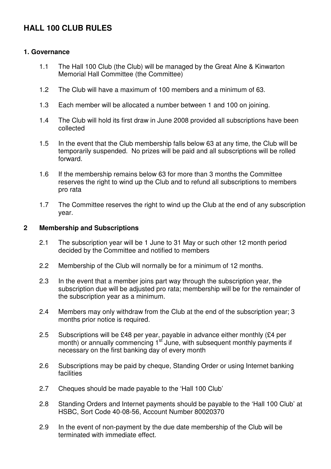# **HALL 100 CLUB RULES**

#### **1. Governance**

- 1.1 The Hall 100 Club (the Club) will be managed by the Great Alne & Kinwarton Memorial Hall Committee (the Committee)
- 1.2 The Club will have a maximum of 100 members and a minimum of 63.
- 1.3 Each member will be allocated a number between 1 and 100 on joining.
- 1.4 The Club will hold its first draw in June 2008 provided all subscriptions have been collected
- 1.5 In the event that the Club membership falls below 63 at any time, the Club will be temporarily suspended. No prizes will be paid and all subscriptions will be rolled forward.
- 1.6 If the membership remains below 63 for more than 3 months the Committee reserves the right to wind up the Club and to refund all subscriptions to members pro rata
- 1.7 The Committee reserves the right to wind up the Club at the end of any subscription year.

#### **2 Membership and Subscriptions**

- 2.1 The subscription year will be 1 June to 31 May or such other 12 month period decided by the Committee and notified to members
- 2.2 Membership of the Club will normally be for a minimum of 12 months.
- 2.3 In the event that a member joins part way through the subscription year, the subscription due will be adjusted pro rata; membership will be for the remainder of the subscription year as a minimum.
- 2.4 Members may only withdraw from the Club at the end of the subscription year; 3 months prior notice is required.
- 2.5 Subscriptions will be £48 per year, payable in advance either monthly (£4 per month) or annually commencing  $1<sup>st</sup>$  June, with subsequent monthly payments if necessary on the first banking day of every month
- 2.6 Subscriptions may be paid by cheque, Standing Order or using Internet banking facilities
- 2.7 Cheques should be made payable to the 'Hall 100 Club'
- 2.8 Standing Orders and Internet payments should be payable to the 'Hall 100 Club' at HSBC, Sort Code 40-08-56, Account Number 80020370
- 2.9 In the event of non-payment by the due date membership of the Club will be terminated with immediate effect.